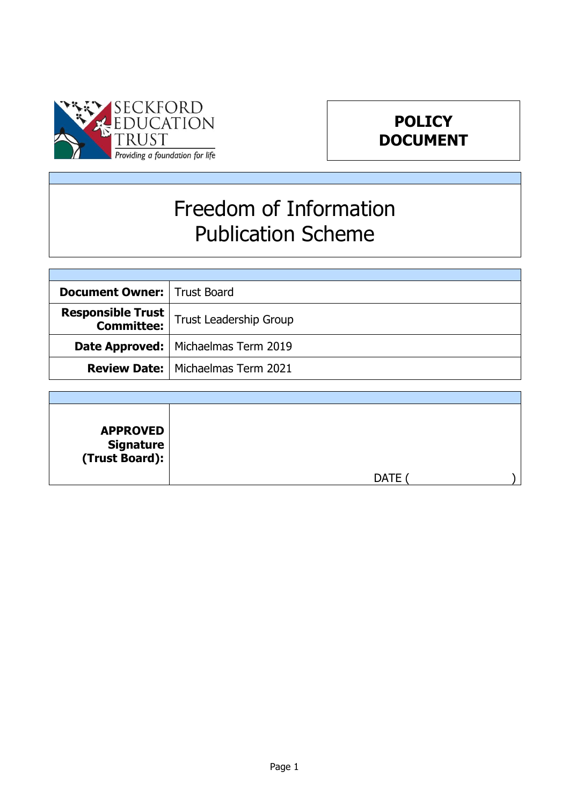

# **POLICY DOCUMENT**

# Freedom of Information Publication Scheme

| <b>Document Owner:   Trust Board</b>   |                                              |
|----------------------------------------|----------------------------------------------|
| <b>Responsible Trust</b><br>Committee: | Trust Leadership Group                       |
|                                        | <b>Date Approved:</b>   Michaelmas Term 2019 |
|                                        | <b>Review Date:   Michaelmas Term 2021</b>   |

| <b>APPROVED</b><br>  Signature<br>  (Trust Board): |             |  |
|----------------------------------------------------|-------------|--|
|                                                    | <b>DATE</b> |  |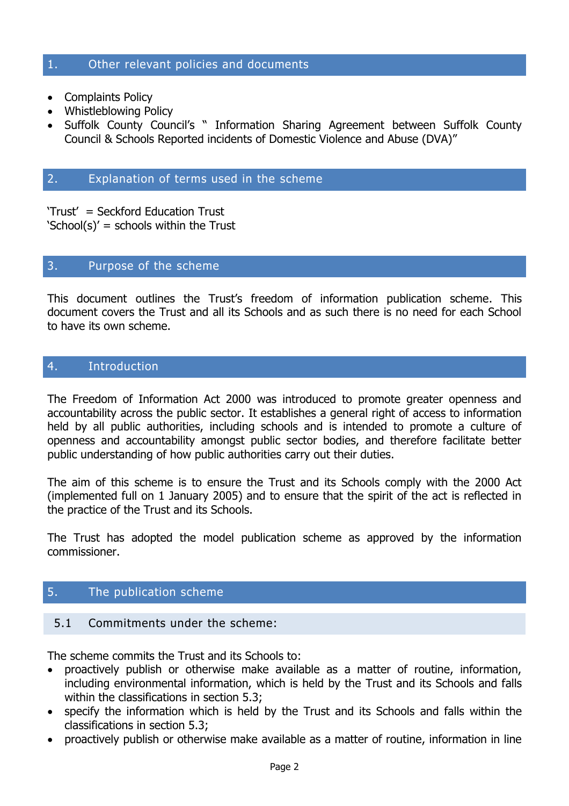#### 1. Other relevant policies and documents

- Complaints Policy
- Whistleblowing Policy
- Suffolk County Council's " Information Sharing Agreement between Suffolk County Council & Schools Reported incidents of Domestic Violence and Abuse (DVA)"

# 2. Explanation of terms used in the scheme

'Trust' = Seckford Education Trust 'School(s)' = schools within the Trust

#### 3. Purpose of the scheme

This document outlines the Trust's freedom of information publication scheme. This document covers the Trust and all its Schools and as such there is no need for each School to have its own scheme.

#### 4. Introduction

The Freedom of Information Act 2000 was introduced to promote greater openness and accountability across the public sector. It establishes a general right of access to information held by all public authorities, including schools and is intended to promote a culture of openness and accountability amongst public sector bodies, and therefore facilitate better public understanding of how public authorities carry out their duties.

The aim of this scheme is to ensure the Trust and its Schools comply with the 2000 Act (implemented full on 1 January 2005) and to ensure that the spirit of the act is reflected in the practice of the Trust and its Schools.

The Trust has adopted the model publication scheme as approved by the information commissioner.

## 5. The publication scheme

#### 5.1 Commitments under the scheme:

The scheme commits the Trust and its Schools to:

- proactively publish or otherwise make available as a matter of routine, information, including environmental information, which is held by the Trust and its Schools and falls within the classifications in section 5.3;
- specify the information which is held by the Trust and its Schools and falls within the classifications in section 5.3;
- proactively publish or otherwise make available as a matter of routine, information in line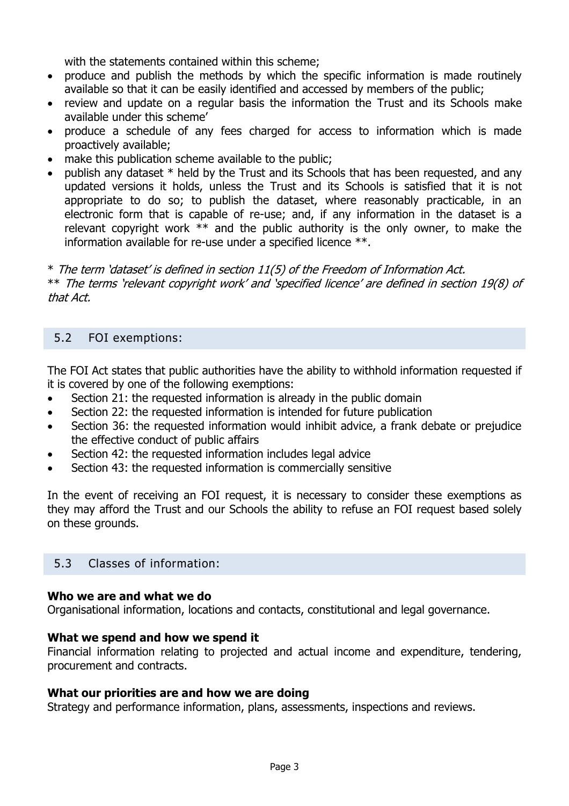with the statements contained within this scheme:

- produce and publish the methods by which the specific information is made routinely available so that it can be easily identified and accessed by members of the public;
- review and update on a regular basis the information the Trust and its Schools make available under this scheme'
- produce a schedule of any fees charged for access to information which is made proactively available;
- make this publication scheme available to the public;
- publish any dataset \* held by the Trust and its Schools that has been requested, and any updated versions it holds, unless the Trust and its Schools is satisfied that it is not appropriate to do so; to publish the dataset, where reasonably practicable, in an electronic form that is capable of re-use; and, if any information in the dataset is a relevant copyright work  $**$  and the public authority is the only owner, to make the information available for re-use under a specified licence \*\*.

\* The term 'dataset' is defined in section 11(5) of the Freedom of Information Act. \*\* The terms 'relevant copyright work' and 'specified licence' are defined in section 19(8) of that Act.

# 5.2 FOI exemptions:

The FOI Act states that public authorities have the ability to withhold information requested if it is covered by one of the following exemptions:

- Section 21: the requested information is already in the public domain
- Section 22: the requested information is intended for future publication
- Section 36: the requested information would inhibit advice, a frank debate or prejudice the effective conduct of public affairs
- Section 42: the requested information includes legal advice
- Section 43: the requested information is commercially sensitive

In the event of receiving an FOI request, it is necessary to consider these exemptions as they may afford the Trust and our Schools the ability to refuse an FOI request based solely on these grounds.

# 5.3 Classes of information:

#### **Who we are and what we do**

Organisational information, locations and contacts, constitutional and legal governance.

#### **What we spend and how we spend it**

Financial information relating to projected and actual income and expenditure, tendering, procurement and contracts.

#### **What our priorities are and how we are doing**

Strategy and performance information, plans, assessments, inspections and reviews.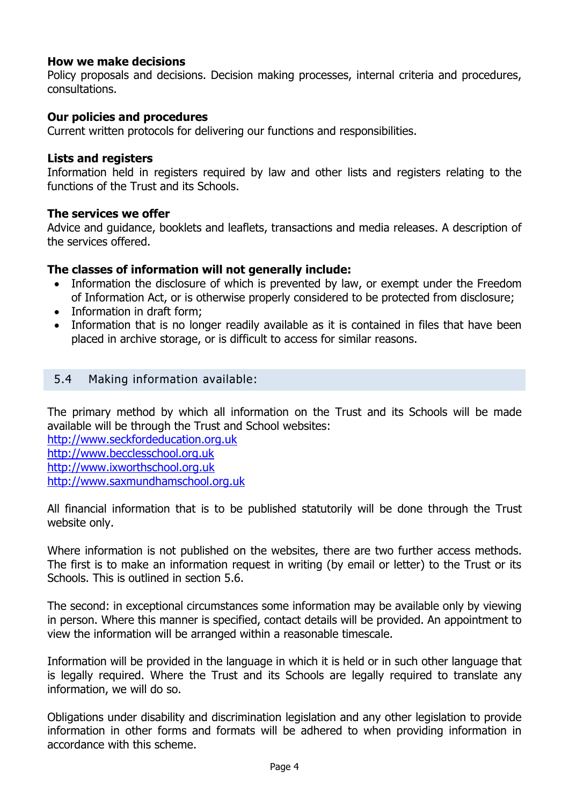#### **How we make decisions**

Policy proposals and decisions. Decision making processes, internal criteria and procedures, consultations.

#### **Our policies and procedures**

Current written protocols for delivering our functions and responsibilities.

#### **Lists and registers**

Information held in registers required by law and other lists and registers relating to the functions of the Trust and its Schools.

#### **The services we offer**

Advice and guidance, booklets and leaflets, transactions and media releases. A description of the services offered.

#### **The classes of information will not generally include:**

- Information the disclosure of which is prevented by law, or exempt under the Freedom of Information Act, or is otherwise properly considered to be protected from disclosure;
- Information in draft form;
- Information that is no longer readily available as it is contained in files that have been placed in archive storage, or is difficult to access for similar reasons.

#### 5.4 Making information available:

The primary method by which all information on the Trust and its Schools will be made available will be through the Trust and School websites:

[http://www.seckfordeducation.org.uk](http://www.seckfordeducation.org.uk/) [http://www.becclesschool.org.uk](http://www.becclesschool.org.uk/) [http://www.ixworthschool.org.uk](http://www.ixworthschool.org.uk/) [http://www.saxmundhamschool.org.uk](http://www.saxmundhamschool.org.uk/)

All financial information that is to be published statutorily will be done through the Trust website only.

Where information is not published on the websites, there are two further access methods. The first is to make an information request in writing (by email or letter) to the Trust or its Schools. This is outlined in section 5.6.

The second: in exceptional circumstances some information may be available only by viewing in person. Where this manner is specified, contact details will be provided. An appointment to view the information will be arranged within a reasonable timescale.

Information will be provided in the language in which it is held or in such other language that is legally required. Where the Trust and its Schools are legally required to translate any information, we will do so.

Obligations under disability and discrimination legislation and any other legislation to provide information in other forms and formats will be adhered to when providing information in accordance with this scheme.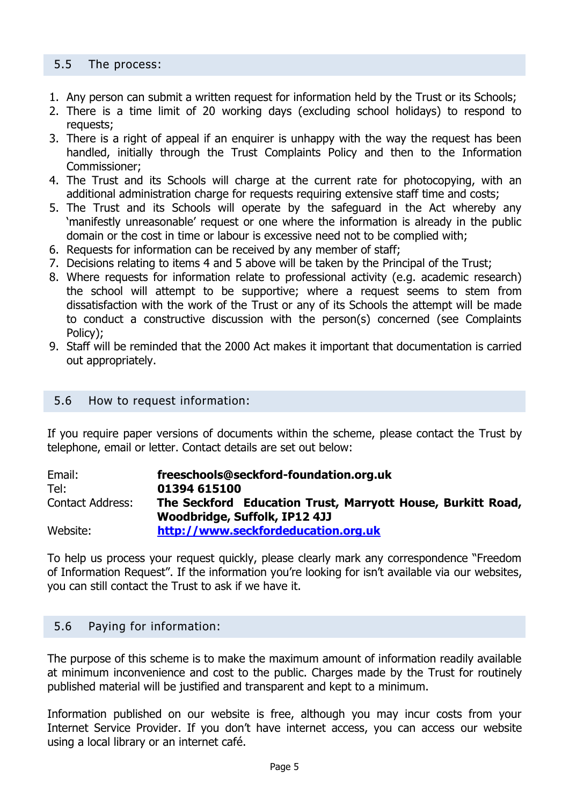#### 5.5 The process:

- 1. Any person can submit a written request for information held by the Trust or its Schools;
- 2. There is a time limit of 20 working days (excluding school holidays) to respond to requests;
- 3. There is a right of appeal if an enquirer is unhappy with the way the request has been handled, initially through the Trust Complaints Policy and then to the Information Commissioner;
- 4. The Trust and its Schools will charge at the current rate for photocopying, with an additional administration charge for requests requiring extensive staff time and costs;
- 5. The Trust and its Schools will operate by the safeguard in the Act whereby any 'manifestly unreasonable' request or one where the information is already in the public domain or the cost in time or labour is excessive need not to be complied with;
- 6. Requests for information can be received by any member of staff;
- 7. Decisions relating to items 4 and 5 above will be taken by the Principal of the Trust;
- 8. Where requests for information relate to professional activity (e.g. academic research) the school will attempt to be supportive; where a request seems to stem from dissatisfaction with the work of the Trust or any of its Schools the attempt will be made to conduct a constructive discussion with the person(s) concerned (see Complaints Policy);
- 9. Staff will be reminded that the 2000 Act makes it important that documentation is carried out appropriately.

#### 5.6 How to request information:

If you require paper versions of documents within the scheme, please contact the Trust by telephone, email or letter. Contact details are set out below:

| Email:                  | freeschools@seckford-foundation.org.uk                                                       |
|-------------------------|----------------------------------------------------------------------------------------------|
| Tel:                    | 01394 615100                                                                                 |
| <b>Contact Address:</b> | The Seckford Education Trust, Marryott House, Burkitt Road,<br>Woodbridge, Suffolk, IP12 4JJ |
| Website:                | http://www.seckfordeducation.org.uk                                                          |

To help us process your request quickly, please clearly mark any correspondence "Freedom of Information Request". If the information you're looking for isn't available via our websites, you can still contact the Trust to ask if we have it.

#### 5.6 Paying for information:

The purpose of this scheme is to make the maximum amount of information readily available at minimum inconvenience and cost to the public. Charges made by the Trust for routinely published material will be justified and transparent and kept to a minimum.

Information published on our website is free, although you may incur costs from your Internet Service Provider. If you don't have internet access, you can access our website using a local library or an internet café.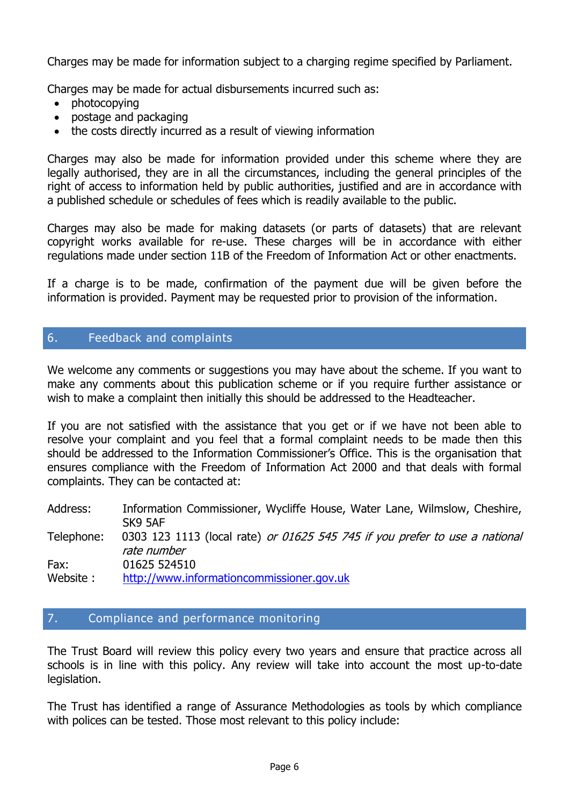Charges may be made for information subject to a charging regime specified by Parliament.

Charges may be made for actual disbursements incurred such as:

- photocopying
- postage and packaging
- the costs directly incurred as a result of viewing information

Charges may also be made for information provided under this scheme where they are legally authorised, they are in all the circumstances, including the general principles of the right of access to information held by public authorities, justified and are in accordance with a published schedule or schedules of fees which is readily available to the public.

Charges may also be made for making datasets (or parts of datasets) that are relevant copyright works available for re-use. These charges will be in accordance with either regulations made under section 11B of the Freedom of Information Act or other enactments.

If a charge is to be made, confirmation of the payment due will be given before the information is provided. Payment may be requested prior to provision of the information.

# 6. Feedback and complaints

We welcome any comments or suggestions you may have about the scheme. If you want to make any comments about this publication scheme or if you require further assistance or wish to make a complaint then initially this should be addressed to the Headteacher.

If you are not satisfied with the assistance that you get or if we have not been able to resolve your complaint and you feel that a formal complaint needs to be made then this should be addressed to the Information Commissioner's Office. This is the organisation that ensures compliance with the Freedom of Information Act 2000 and that deals with formal complaints. They can be contacted at:

Address: Information Commissioner, Wycliffe House, Water Lane, Wilmslow, Cheshire, SK9 5AF Telephone: 0303 123 1113 (local rate) or 01625 545 745 if you prefer to use a national rate number Fax: 01625 524510 Website : [http://www.informationcommissioner.gov.uk](http://www.informationcommissioner.gov.uk/)

#### 7. Compliance and performance monitoring

The Trust Board will review this policy every two years and ensure that practice across all schools is in line with this policy. Any review will take into account the most up-to-date legislation.

The Trust has identified a range of Assurance Methodologies as tools by which compliance with polices can be tested. Those most relevant to this policy include: